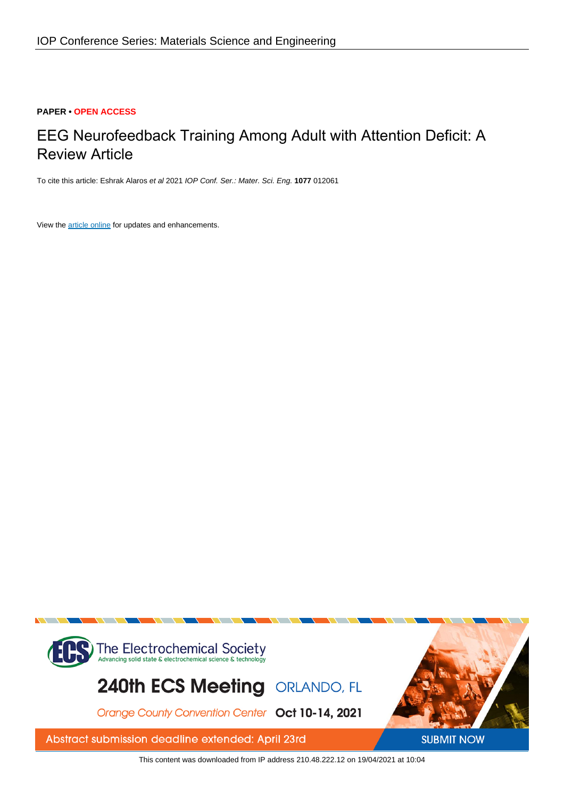# **PAPER • OPEN ACCESS**

# EEG Neurofeedback Training Among Adult with Attention Deficit: A Review Article

To cite this article: Eshrak Alaros et al 2021 IOP Conf. Ser.: Mater. Sci. Eng. **1077** 012061

View the [article online](https://doi.org/10.1088/1757-899X/1077/1/012061) for updates and enhancements.



This content was downloaded from IP address 210.48.222.12 on 19/04/2021 at 10:04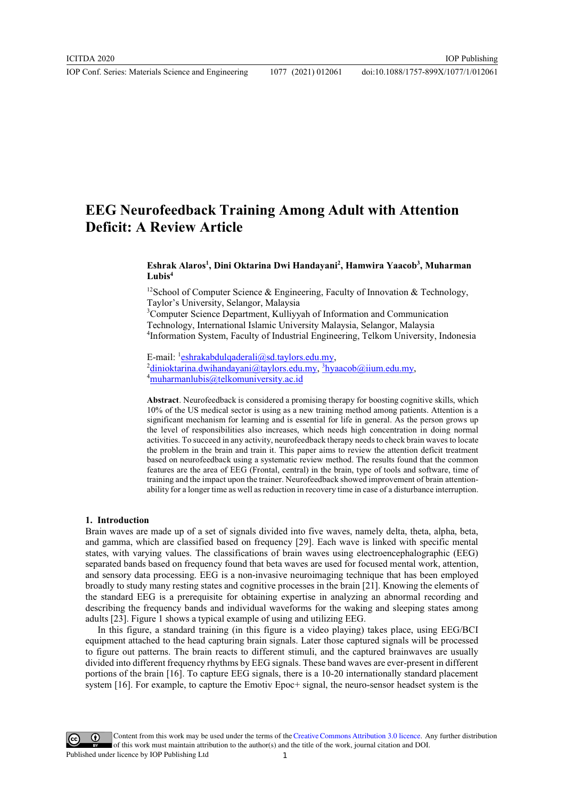# EEG Neurofeedback Training Among Adult with Attention Deficit: A Review Article

# Eshrak Alaros<sup>1</sup>, Dini Oktarina Dwi Handayani<sup>2</sup>, Hamwira Yaacob<sup>3</sup>, Muharman  $Lubis<sup>4</sup>$

<sup>12</sup>School of Computer Science & Engineering, Faculty of Innovation & Technology, Taylor's University, Selangor, Malaysia

<sup>3</sup> Computer Science Department, Kulliyyah of Information and Communication Technology, International Islamic University Malaysia, Selangor, Malaysia 4 Information System, Faculty of Industrial Engineering, Telkom University, Indonesia

E-mail: <sup>1</sup> eshrakabdulqaderali@sd.taylors.edu.my,<br><sup>2</sup>dinioktarina dwihandayani@taylors.edu.my, <sup>3</sup>bya

 $\frac{d^2 \text{dinioktarina.dwihandayani@taylors.edu.my, } ^3 \text{hyaacob@iium.edu.my,}}{4 \text{mubarmanlubis@talkomuni/ersitu ac id}}$  $\frac{4}{3}$ muharmanlubis@telkomuniversity.ac.id

Abstract. Neurofeedback is considered a promising therapy for boosting cognitive skills, which 10% of the US medical sector is using as a new training method among patients. Attention is a significant mechanism for learning and is essential for life in general. As the person grows up the level of responsibilities also increases, which needs high concentration in doing normal activities. To succeed in any activity, neurofeedback therapy needs to check brain waves to locate the problem in the brain and train it. This paper aims to review the attention deficit treatment based on neurofeedback using a systematic review method. The results found that the common features are the area of EEG (Frontal, central) in the brain, type of tools and software, time of training and the impact upon the trainer. Neurofeedback showed improvement of brain attentionability for a longer time as well as reduction in recovery time in case of a disturbance interruption.

### 1. Introduction

Brain waves are made up of a set of signals divided into five waves, namely delta, theta, alpha, beta, and gamma, which are classified based on frequency [29]. Each wave is linked with specific mental states, with varying values. The classifications of brain waves using electroencephalographic (EEG) separated bands based on frequency found that beta waves are used for focused mental work, attention, and sensory data processing. EEG is a non-invasive neuroimaging technique that has been employed broadly to study many resting states and cognitive processes in the brain [21]. Knowing the elements of the standard EEG is a prerequisite for obtaining expertise in analyzing an abnormal recording and describing the frequency bands and individual waveforms for the waking and sleeping states among adults [23]. Figure 1 shows a typical example of using and utilizing EEG.

In this figure, a standard training (in this figure is a video playing) takes place, using EEG/BCI equipment attached to the head capturing brain signals. Later those captured signals will be processed to figure out patterns. The brain reacts to different stimuli, and the captured brainwaves are usually divided into different frequency rhythms by EEG signals. These band waves are ever-present in different portions of the brain [16]. To capture EEG signals, there is a 10-20 internationally standard placement system [16]. For example, to capture the Emotiv Epoc+ signal, the neuro-sensor headset system is the

Content from this work may be used under the terms of theCreative Commons Attribution 3.0 licence. Any further distribution of this work must maintain attribution to the author(s) and the title of the work, journal citation and DOI. Published under licence by IOP Publishing Ltd 1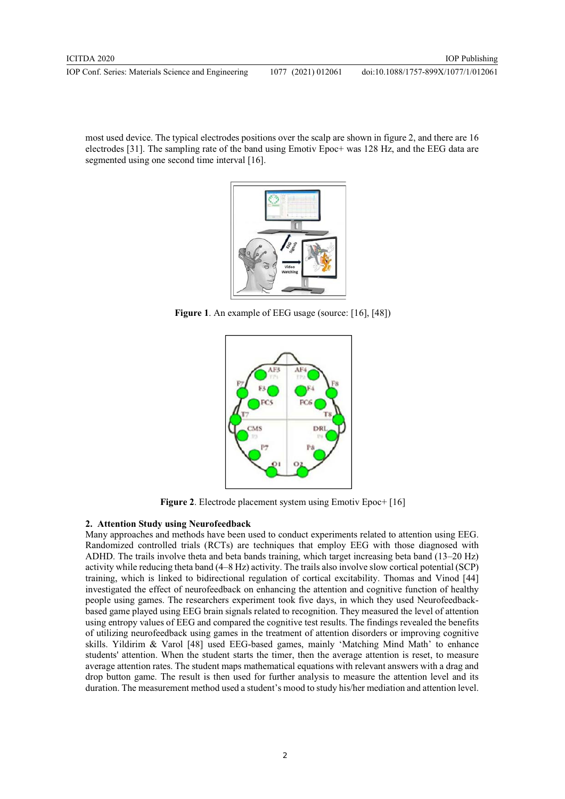doi:10.1088/1757-899X/1077/1/012061

most used device. The typical electrodes positions over the scalp are shown in figure 2, and there are 16 electrodes [31]. The sampling rate of the band using Emotiv Epoc+ was 128 Hz, and the EEG data are segmented using one second time interval [16].



Figure 1. An example of EEG usage (source: [16], [48])



Figure 2. Electrode placement system using Emotiv Epoc+ [16]

# 2. Attention Study using Neurofeedback

Many approaches and methods have been used to conduct experiments related to attention using EEG. Randomized controlled trials (RCTs) are techniques that employ EEG with those diagnosed with ADHD. The trails involve theta and beta bands training, which target increasing beta band (13–20 Hz) activity while reducing theta band (4–8 Hz) activity. The trails also involve slow cortical potential (SCP) training, which is linked to bidirectional regulation of cortical excitability. Thomas and Vinod [44] investigated the effect of neurofeedback on enhancing the attention and cognitive function of healthy people using games. The researchers experiment took five days, in which they used Neurofeedbackbased game played using EEG brain signals related to recognition. They measured the level of attention using entropy values of EEG and compared the cognitive test results. The findings revealed the benefits of utilizing neurofeedback using games in the treatment of attention disorders or improving cognitive skills. Yildirim & Varol [48] used EEG-based games, mainly 'Matching Mind Math' to enhance students' attention. When the student starts the timer, then the average attention is reset, to measure average attention rates. The student maps mathematical equations with relevant answers with a drag and drop button game. The result is then used for further analysis to measure the attention level and its duration. The measurement method used a student's mood to study his/her mediation and attention level.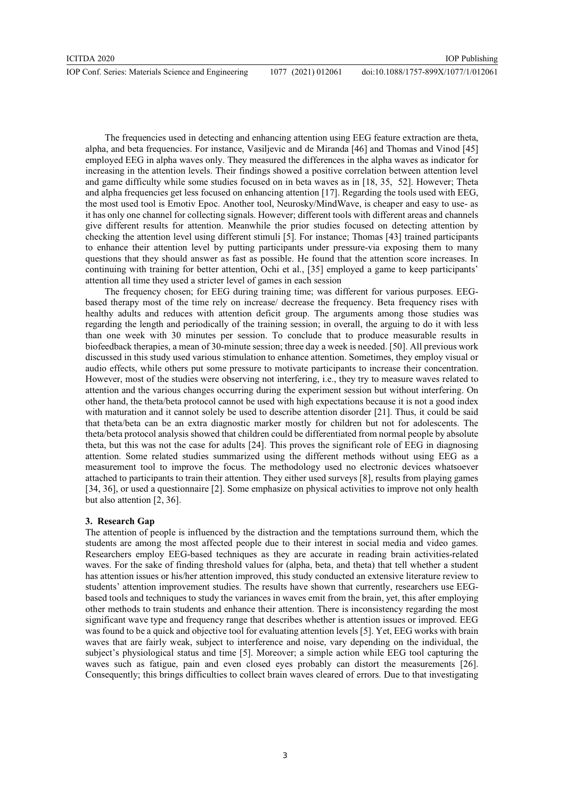The frequencies used in detecting and enhancing attention using EEG feature extraction are theta, alpha, and beta frequencies. For instance, Vasiljevic and de Miranda [46] and Thomas and Vinod [45] employed EEG in alpha waves only. They measured the differences in the alpha waves as indicator for increasing in the attention levels. Their findings showed a positive correlation between attention level and game difficulty while some studies focused on in beta waves as in [18, 35, 52]. However; Theta and alpha frequencies get less focused on enhancing attention [17]. Regarding the tools used with EEG, the most used tool is Emotiv Epoc. Another tool, Neurosky/MindWave, is cheaper and easy to use- as it has only one channel for collecting signals. However; different tools with different areas and channels give different results for attention. Meanwhile the prior studies focused on detecting attention by checking the attention level using different stimuli [5]. For instance; Thomas [43] trained participants to enhance their attention level by putting participants under pressure-via exposing them to many questions that they should answer as fast as possible. He found that the attention score increases. In continuing with training for better attention, Ochi et al., [35] employed a game to keep participants' attention all time they used a stricter level of games in each session

 The frequency chosen; for EEG during training time; was different for various purposes. EEGbased therapy most of the time rely on increase/ decrease the frequency. Beta frequency rises with healthy adults and reduces with attention deficit group. The arguments among those studies was regarding the length and periodically of the training session; in overall, the arguing to do it with less than one week with 30 minutes per session. To conclude that to produce measurable results in biofeedback therapies, a mean of 30-minute session; three day a week is needed. [50]. All previous work discussed in this study used various stimulation to enhance attention. Sometimes, they employ visual or audio effects, while others put some pressure to motivate participants to increase their concentration. However, most of the studies were observing not interfering, i.e., they try to measure waves related to attention and the various changes occurring during the experiment session but without interfering. On other hand, the theta/beta protocol cannot be used with high expectations because it is not a good index with maturation and it cannot solely be used to describe attention disorder [21]. Thus, it could be said that theta/beta can be an extra diagnostic marker mostly for children but not for adolescents. The theta/beta protocol analysis showed that children could be differentiated from normal people by absolute theta, but this was not the case for adults [24]. This proves the significant role of EEG in diagnosing attention. Some related studies summarized using the different methods without using EEG as a measurement tool to improve the focus. The methodology used no electronic devices whatsoever attached to participants to train their attention. They either used surveys [8], results from playing games [34, 36], or used a questionnaire [2]. Some emphasize on physical activities to improve not only health but also attention [2, 36].

### 3. Research Gap

The attention of people is influenced by the distraction and the temptations surround them, which the students are among the most affected people due to their interest in social media and video games. Researchers employ EEG-based techniques as they are accurate in reading brain activities-related waves. For the sake of finding threshold values for (alpha, beta, and theta) that tell whether a student has attention issues or his/her attention improved, this study conducted an extensive literature review to students' attention improvement studies. The results have shown that currently, researchers use EEGbased tools and techniques to study the variances in waves emit from the brain, yet, this after employing other methods to train students and enhance their attention. There is inconsistency regarding the most significant wave type and frequency range that describes whether is attention issues or improved. EEG was found to be a quick and objective tool for evaluating attention levels [5]. Yet, EEG works with brain waves that are fairly weak, subject to interference and noise, vary depending on the individual, the subject's physiological status and time [5]. Moreover; a simple action while EEG tool capturing the waves such as fatigue, pain and even closed eyes probably can distort the measurements [26]. Consequently; this brings difficulties to collect brain waves cleared of errors. Due to that investigating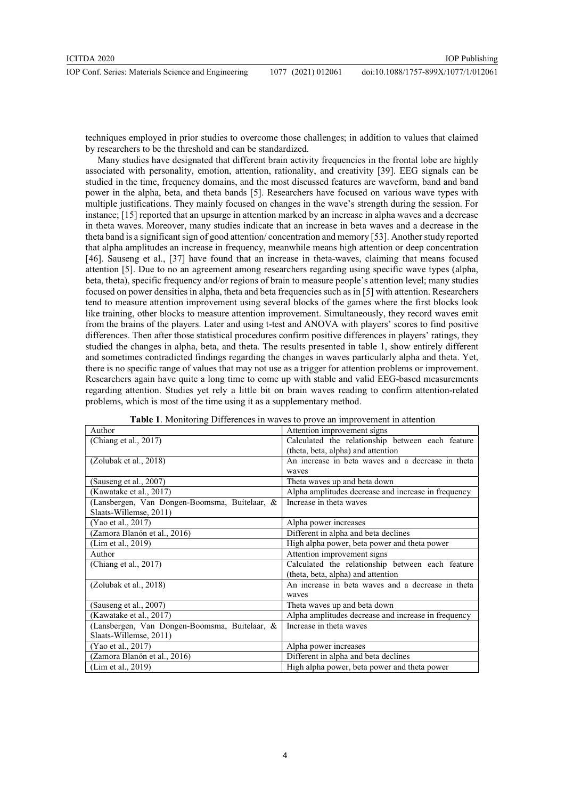techniques employed in prior studies to overcome those challenges; in addition to values that claimed by researchers to be the threshold and can be standardized.

Many studies have designated that different brain activity frequencies in the frontal lobe are highly associated with personality, emotion, attention, rationality, and creativity [39]. EEG signals can be studied in the time, frequency domains, and the most discussed features are waveform, band and band power in the alpha, beta, and theta bands [5]. Researchers have focused on various wave types with multiple justifications. They mainly focused on changes in the wave's strength during the session. For instance; [15] reported that an upsurge in attention marked by an increase in alpha waves and a decrease in theta waves. Moreover, many studies indicate that an increase in beta waves and a decrease in the theta band is a significant sign of good attention/ concentration and memory [53]. Another study reported that alpha amplitudes an increase in frequency, meanwhile means high attention or deep concentration [46]. Sauseng et al., [37] have found that an increase in theta-waves, claiming that means focused attention [5]. Due to no an agreement among researchers regarding using specific wave types (alpha, beta, theta), specific frequency and/or regions of brain to measure people's attention level; many studies focused on power densities in alpha, theta and beta frequencies such as in [5] with attention. Researchers tend to measure attention improvement using several blocks of the games where the first blocks look like training, other blocks to measure attention improvement. Simultaneously, they record waves emit from the brains of the players. Later and using t-test and ANOVA with players' scores to find positive differences. Then after those statistical procedures confirm positive differences in players' ratings, they studied the changes in alpha, beta, and theta. The results presented in table 1, show entirely different and sometimes contradicted findings regarding the changes in waves particularly alpha and theta. Yet, there is no specific range of values that may not use as a trigger for attention problems or improvement. Researchers again have quite a long time to come up with stable and valid EEG-based measurements regarding attention. Studies yet rely a little bit on brain waves reading to confirm attention-related problems, which is most of the time using it as a supplementary method.

| Author                                        | Attention improvement signs                         |
|-----------------------------------------------|-----------------------------------------------------|
| (Chiang et al., $2017$ )                      | Calculated the relationship between each feature    |
|                                               | (theta, beta, alpha) and attention                  |
| (Zolubak et al., 2018)                        | An increase in beta waves and a decrease in theta   |
|                                               | waves                                               |
| Sauseng et al., 2007)                         | Theta waves up and beta down                        |
| (Kawatake et al., 2017)                       | Alpha amplitudes decrease and increase in frequency |
| (Lansbergen, Van Dongen-Boomsma, Buitelaar, & | Increase in theta waves                             |
| Slaats-Willemse, 2011)                        |                                                     |
| (Yao et al., 2017)                            | Alpha power increases                               |
| (Zamora Blanón et al., 2016)                  | Different in alpha and beta declines                |
| (Lim et al., 2019)                            | High alpha power, beta power and theta power        |
| Author                                        | Attention improvement signs                         |
| (Chiang et al., 2017)                         | Calculated the relationship between each feature    |
|                                               | (theta, beta, alpha) and attention                  |
| (Zolubak et al., 2018)                        | An increase in beta waves and a decrease in theta   |
|                                               | waves                                               |
| (Sauseng et al., 2007)                        | Theta waves up and beta down                        |
| (Kawatake et al., 2017)                       | Alpha amplitudes decrease and increase in frequency |
| (Lansbergen, Van Dongen-Boomsma, Buitelaar, & | Increase in theta waves                             |
| Slaats-Willemse, 2011)                        |                                                     |
| (Yao et al., 2017)                            | Alpha power increases                               |
| (Zamora Blanón et al., 2016)                  | Different in alpha and beta declines                |
| (Lim et al., 2019)                            | High alpha power, beta power and theta power        |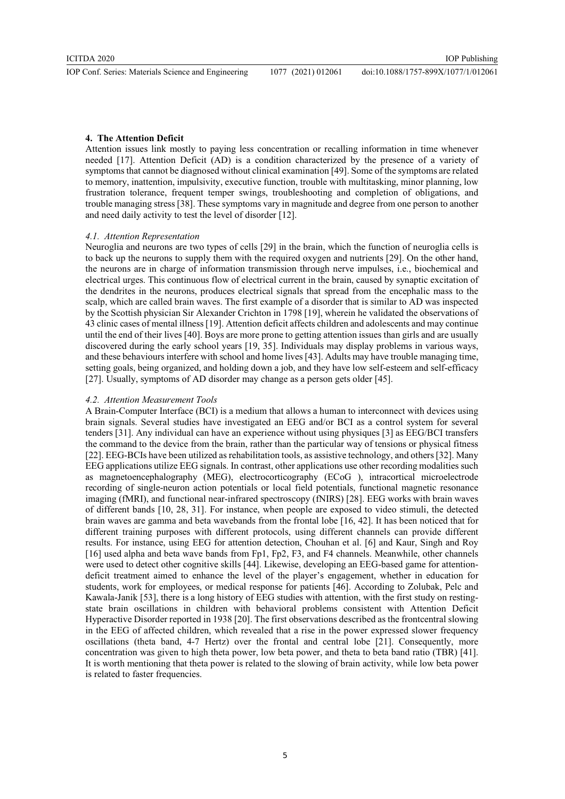#### 4. The Attention Deficit

Attention issues link mostly to paying less concentration or recalling information in time whenever needed [17]. Attention Deficit (AD) is a condition characterized by the presence of a variety of symptoms that cannot be diagnosed without clinical examination [49]. Some of the symptoms are related to memory, inattention, impulsivity, executive function, trouble with multitasking, minor planning, low frustration tolerance, frequent temper swings, troubleshooting and completion of obligations, and trouble managing stress [38]. These symptoms vary in magnitude and degree from one person to another and need daily activity to test the level of disorder [12].

#### 4.1. Attention Representation

Neuroglia and neurons are two types of cells [29] in the brain, which the function of neuroglia cells is to back up the neurons to supply them with the required oxygen and nutrients [29]. On the other hand, the neurons are in charge of information transmission through nerve impulses, i.e., biochemical and electrical urges. This continuous flow of electrical current in the brain, caused by synaptic excitation of the dendrites in the neurons, produces electrical signals that spread from the encephalic mass to the scalp, which are called brain waves. The first example of a disorder that is similar to AD was inspected by the Scottish physician Sir Alexander Crichton in 1798 [19], wherein he validated the observations of 43 clinic cases of mental illness [19]. Attention deficit affects children and adolescents and may continue until the end of their lives [40]. Boys are more prone to getting attention issues than girls and are usually discovered during the early school years [19, 35]. Individuals may display problems in various ways, and these behaviours interfere with school and home lives [43]. Adults may have trouble managing time, setting goals, being organized, and holding down a job, and they have low self-esteem and self-efficacy [27]. Usually, symptoms of AD disorder may change as a person gets older [45].

### 4.2. Attention Measurement Tools

A Brain-Computer Interface (BCI) is a medium that allows a human to interconnect with devices using brain signals. Several studies have investigated an EEG and/or BCI as a control system for several tenders [31]. Any individual can have an experience without using physiques [3] as EEG/BCI transfers the command to the device from the brain, rather than the particular way of tensions or physical fitness [22]. EEG-BCIs have been utilized as rehabilitation tools, as assistive technology, and others [32]. Many EEG applications utilize EEG signals. In contrast, other applications use other recording modalities such as magnetoencephalography (MEG), electrocorticography (ECoG ), intracortical microelectrode recording of single-neuron action potentials or local field potentials, functional magnetic resonance imaging (fMRI), and functional near-infrared spectroscopy (fNIRS) [28]. EEG works with brain waves of different bands [10, 28, 31]. For instance, when people are exposed to video stimuli, the detected brain waves are gamma and beta wavebands from the frontal lobe [16, 42]. It has been noticed that for different training purposes with different protocols, using different channels can provide different results. For instance, using EEG for attention detection, Chouhan et al. [6] and Kaur, Singh and Roy [16] used alpha and beta wave bands from Fp1, Fp2, F3, and F4 channels. Meanwhile, other channels were used to detect other cognitive skills [44]. Likewise, developing an EEG-based game for attentiondeficit treatment aimed to enhance the level of the player's engagement, whether in education for students, work for employees, or medical response for patients [46]. According to Zolubak, Pelc and Kawala-Janik [53], there is a long history of EEG studies with attention, with the first study on restingstate brain oscillations in children with behavioral problems consistent with Attention Deficit Hyperactive Disorder reported in 1938 [20]. The first observations described as the frontcentral slowing in the EEG of affected children, which revealed that a rise in the power expressed slower frequency oscillations (theta band, 4-7 Hertz) over the frontal and central lobe [21]. Consequently, more concentration was given to high theta power, low beta power, and theta to beta band ratio (TBR) [41]. It is worth mentioning that theta power is related to the slowing of brain activity, while low beta power is related to faster frequencies.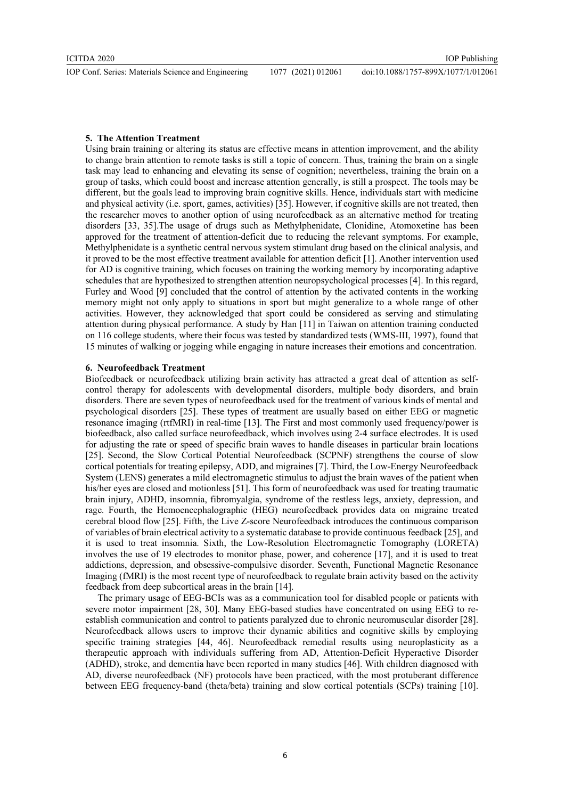#### 5. The Attention Treatment

Using brain training or altering its status are effective means in attention improvement, and the ability to change brain attention to remote tasks is still a topic of concern. Thus, training the brain on a single task may lead to enhancing and elevating its sense of cognition; nevertheless, training the brain on a group of tasks, which could boost and increase attention generally, is still a prospect. The tools may be different, but the goals lead to improving brain cognitive skills. Hence, individuals start with medicine and physical activity (i.e. sport, games, activities) [35]. However, if cognitive skills are not treated, then the researcher moves to another option of using neurofeedback as an alternative method for treating disorders [33, 35].The usage of drugs such as Methylphenidate, Clonidine, Atomoxetine has been approved for the treatment of attention-deficit due to reducing the relevant symptoms. For example, Methylphenidate is a synthetic central nervous system stimulant drug based on the clinical analysis, and it proved to be the most effective treatment available for attention deficit [1]. Another intervention used for AD is cognitive training, which focuses on training the working memory by incorporating adaptive schedules that are hypothesized to strengthen attention neuropsychological processes [4]. In this regard, Furley and Wood [9] concluded that the control of attention by the activated contents in the working memory might not only apply to situations in sport but might generalize to a whole range of other activities. However, they acknowledged that sport could be considered as serving and stimulating attention during physical performance. A study by Han [11] in Taiwan on attention training conducted on 116 college students, where their focus was tested by standardized tests (WMS-III, 1997), found that 15 minutes of walking or jogging while engaging in nature increases their emotions and concentration.

## 6. Neurofeedback Treatment

Biofeedback or neurofeedback utilizing brain activity has attracted a great deal of attention as selfcontrol therapy for adolescents with developmental disorders, multiple body disorders, and brain disorders. There are seven types of neurofeedback used for the treatment of various kinds of mental and psychological disorders [25]. These types of treatment are usually based on either EEG or magnetic resonance imaging (rtfMRI) in real-time [13]. The First and most commonly used frequency/power is biofeedback, also called surface neurofeedback, which involves using 2-4 surface electrodes. It is used for adjusting the rate or speed of specific brain waves to handle diseases in particular brain locations [25]. Second, the Slow Cortical Potential Neurofeedback (SCPNF) strengthens the course of slow cortical potentials for treating epilepsy, ADD, and migraines [7]. Third, the Low-Energy Neurofeedback System (LENS) generates a mild electromagnetic stimulus to adjust the brain waves of the patient when his/her eyes are closed and motionless [51]. This form of neurofeedback was used for treating traumatic brain injury, ADHD, insomnia, fibromyalgia, syndrome of the restless legs, anxiety, depression, and rage. Fourth, the Hemoencephalographic (HEG) neurofeedback provides data on migraine treated cerebral blood flow [25]. Fifth, the Live Z-score Neurofeedback introduces the continuous comparison of variables of brain electrical activity to a systematic database to provide continuous feedback [25], and it is used to treat insomnia. Sixth, the Low-Resolution Electromagnetic Tomography (LORETA) involves the use of 19 electrodes to monitor phase, power, and coherence [17], and it is used to treat addictions, depression, and obsessive-compulsive disorder. Seventh, Functional Magnetic Resonance Imaging (fMRI) is the most recent type of neurofeedback to regulate brain activity based on the activity feedback from deep subcortical areas in the brain [14].

The primary usage of EEG-BCIs was as a communication tool for disabled people or patients with severe motor impairment [28, 30]. Many EEG-based studies have concentrated on using EEG to reestablish communication and control to patients paralyzed due to chronic neuromuscular disorder [28]. Neurofeedback allows users to improve their dynamic abilities and cognitive skills by employing specific training strategies [44, 46]. Neurofeedback remedial results using neuroplasticity as a therapeutic approach with individuals suffering from AD, Attention-Deficit Hyperactive Disorder (ADHD), stroke, and dementia have been reported in many studies [46]. With children diagnosed with AD, diverse neurofeedback (NF) protocols have been practiced, with the most protuberant difference between EEG frequency-band (theta/beta) training and slow cortical potentials (SCPs) training [10].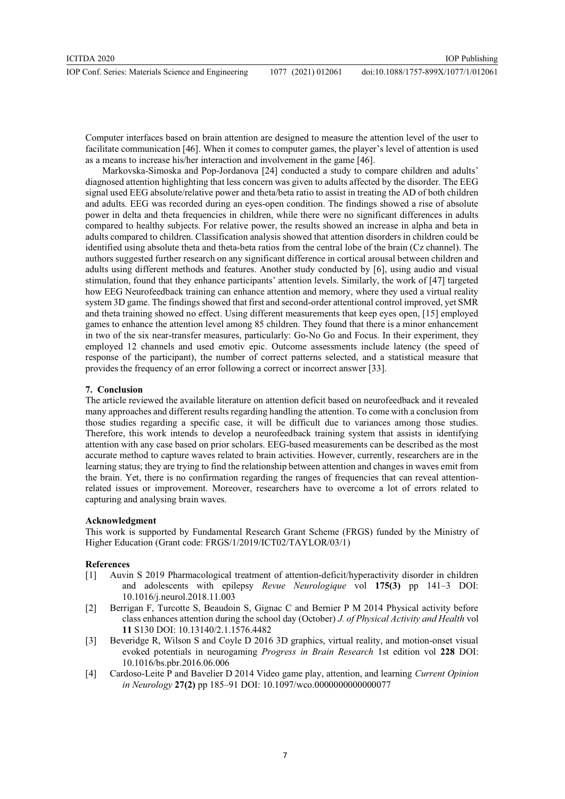Computer interfaces based on brain attention are designed to measure the attention level of the user to facilitate communication [46]. When it comes to computer games, the player's level of attention is used as a means to increase his/her interaction and involvement in the game [46].

 Markovska-Simoska and Pop-Jordanova [24] conducted a study to compare children and adults' diagnosed attention highlighting that less concern was given to adults affected by the disorder. The EEG signal used EEG absolute/relative power and theta/beta ratio to assist in treating the AD of both children and adults. EEG was recorded during an eyes-open condition. The findings showed a rise of absolute power in delta and theta frequencies in children, while there were no significant differences in adults compared to healthy subjects. For relative power, the results showed an increase in alpha and beta in adults compared to children. Classification analysis showed that attention disorders in children could be identified using absolute theta and theta-beta ratios from the central lobe of the brain (Cz channel). The authors suggested further research on any significant difference in cortical arousal between children and adults using different methods and features. Another study conducted by [6], using audio and visual stimulation, found that they enhance participants' attention levels. Similarly, the work of [47] targeted how EEG Neurofeedback training can enhance attention and memory, where they used a virtual reality system 3D game. The findings showed that first and second-order attentional control improved, yet SMR and theta training showed no effect. Using different measurements that keep eyes open, [15] employed games to enhance the attention level among 85 children. They found that there is a minor enhancement in two of the six near-transfer measures, particularly: Go-No Go and Focus. In their experiment, they employed 12 channels and used emotiv epic. Outcome assessments include latency (the speed of response of the participant), the number of correct patterns selected, and a statistical measure that provides the frequency of an error following a correct or incorrect answer [33].

# 7. Conclusion

The article reviewed the available literature on attention deficit based on neurofeedback and it revealed many approaches and different results regarding handling the attention. To come with a conclusion from those studies regarding a specific case, it will be difficult due to variances among those studies. Therefore, this work intends to develop a neurofeedback training system that assists in identifying attention with any case based on prior scholars. EEG-based measurements can be described as the most accurate method to capture waves related to brain activities. However, currently, researchers are in the learning status; they are trying to find the relationship between attention and changes in waves emit from the brain. Yet, there is no confirmation regarding the ranges of frequencies that can reveal attentionrelated issues or improvement. Moreover, researchers have to overcome a lot of errors related to capturing and analysing brain waves.

### Acknowledgment

This work is supported by Fundamental Research Grant Scheme (FRGS) funded by the Ministry of Higher Education (Grant code: FRGS/1/2019/ICT02/TAYLOR/03/1)

## References

- [1] Auvin S 2019 Pharmacological treatment of attention-deficit/hyperactivity disorder in children and adolescents with epilepsy Revue Neurologique vol 175(3) pp 141–3 DOI: 10.1016/j.neurol.2018.11.003
- [2] Berrigan F, Turcotte S, Beaudoin S, Gignac C and Bernier P M 2014 Physical activity before class enhances attention during the school day (October) J. of Physical Activity and Health vol 11 S130 DOI: 10.13140/2.1.1576.4482
- [3] Beveridge R, Wilson S and Coyle D 2016 3D graphics, virtual reality, and motion-onset visual evoked potentials in neurogaming Progress in Brain Research 1st edition vol 228 DOI: 10.1016/bs.pbr.2016.06.006
- [4] Cardoso-Leite P and Bavelier D 2014 Video game play, attention, and learning Current Opinion in Neurology 27(2) pp 185–91 DOI: 10.1097/wco.0000000000000077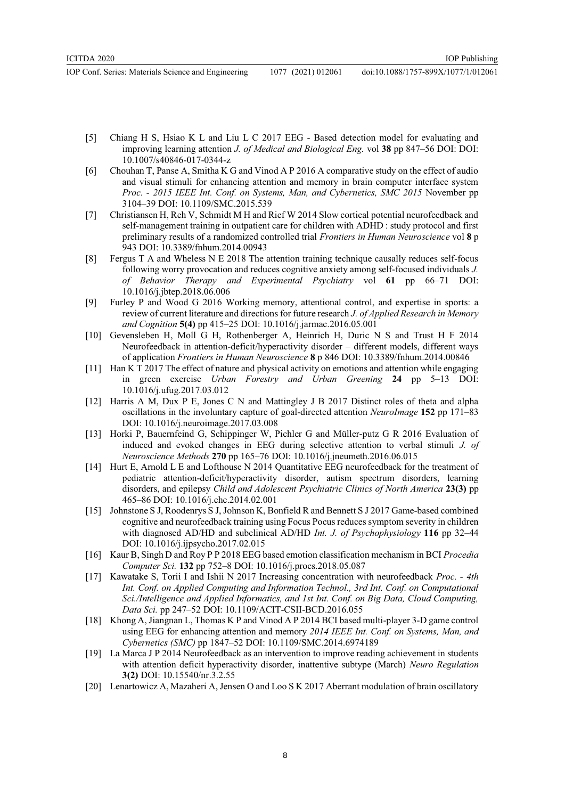IOP Conf. Series: Materials Science and Engineering 1077 (2021) 012061 doi:10.1088/1757-899X/1077/1/012061

IOP Publishing

- [5] Chiang H S, Hsiao K L and Liu L C 2017 EEG Based detection model for evaluating and improving learning attention J. of Medical and Biological Eng. vol 38 pp 847–56 DOI: DOI: 10.1007/s40846-017-0344-z
- [6] Chouhan T, Panse A, Smitha K G and Vinod A P 2016 A comparative study on the effect of audio and visual stimuli for enhancing attention and memory in brain computer interface system Proc. - 2015 IEEE Int. Conf. on Systems, Man, and Cybernetics, SMC 2015 November pp 3104–39 DOI: 10.1109/SMC.2015.539
- [7] Christiansen H, Reh V, Schmidt M H and Rief W 2014 Slow cortical potential neurofeedback and self-management training in outpatient care for children with ADHD : study protocol and first preliminary results of a randomized controlled trial Frontiers in Human Neuroscience vol 8 p 943 DOI: 10.3389/fnhum.2014.00943
- [8] Fergus T A and Wheless N E 2018 The attention training technique causally reduces self-focus following worry provocation and reduces cognitive anxiety among self-focused individuals J. of Behavior Therapy and Experimental Psychiatry vol 61 pp 66–71 DOI: 10.1016/j.jbtep.2018.06.006
- [9] Furley P and Wood G 2016 Working memory, attentional control, and expertise in sports: a review of current literature and directions for future research J. of Applied Research in Memory and Cognition 5(4) pp 415–25 DOI: 10.1016/j.jarmac.2016.05.001
- [10] Gevensleben H, Moll G H, Rothenberger A, Heinrich H, Duric N S and Trust H F 2014 Neurofeedback in attention-deficit/hyperactivity disorder – different models, different ways of application Frontiers in Human Neuroscience 8 p 846 DOI: 10.3389/fnhum.2014.00846
- [11] Han K T 2017 The effect of nature and physical activity on emotions and attention while engaging in green exercise Urban Forestry and Urban Greening 24 pp 5–13 DOI: 10.1016/j.ufug.2017.03.012
- [12] Harris A M, Dux P E, Jones C N and Mattingley J B 2017 Distinct roles of theta and alpha oscillations in the involuntary capture of goal-directed attention NeuroImage 152 pp 171–83 DOI: 10.1016/j.neuroimage.2017.03.008
- [13] Horki P, Bauernfeind G, Schippinger W, Pichler G and Müller-putz G R 2016 Evaluation of induced and evoked changes in EEG during selective attention to verbal stimuli J. of Neuroscience Methods 270 pp 165–76 DOI: 10.1016/j.jneumeth.2016.06.015
- [14] Hurt E, Arnold L E and Lofthouse N 2014 Quantitative EEG neurofeedback for the treatment of pediatric attention-deficit/hyperactivity disorder, autism spectrum disorders, learning disorders, and epilepsy Child and Adolescent Psychiatric Clinics of North America 23(3) pp 465–86 DOI: 10.1016/j.chc.2014.02.001
- [15] Johnstone S J, Roodenrys S J, Johnson K, Bonfield R and Bennett S J 2017 Game-based combined cognitive and neurofeedback training using Focus Pocus reduces symptom severity in children with diagnosed AD/HD and subclinical AD/HD Int. J. of Psychophysiology 116 pp 32–44 DOI: 10.1016/j.ijpsycho.2017.02.015
- [16] Kaur B, Singh D and Roy P P 2018 EEG based emotion classification mechanism in BCI Procedia Computer Sci. 132 pp 752–8 DOI: 10.1016/j.procs.2018.05.087
- [17] Kawatake S, Torii I and Ishii N 2017 Increasing concentration with neurofeedback Proc. 4th Int. Conf. on Applied Computing and Information Technol., 3rd Int. Conf. on Computational Sci./Intelligence and Applied Informatics, and 1st Int. Conf. on Big Data, Cloud Computing, Data Sci. pp 247–52 DOI: 10.1109/ACIT-CSII-BCD.2016.055
- [18] Khong A, Jiangnan L, Thomas K P and Vinod A P 2014 BCI based multi-player 3-D game control using EEG for enhancing attention and memory 2014 IEEE Int. Conf. on Systems, Man, and Cybernetics (SMC) pp 1847–52 DOI: 10.1109/SMC.2014.6974189
- [19] La Marca J P 2014 Neurofeedback as an intervention to improve reading achievement in students with attention deficit hyperactivity disorder, inattentive subtype (March) Neuro Regulation 3(2) DOI: 10.15540/nr.3.2.55
- [20] Lenartowicz A, Mazaheri A, Jensen O and Loo S K 2017 Aberrant modulation of brain oscillatory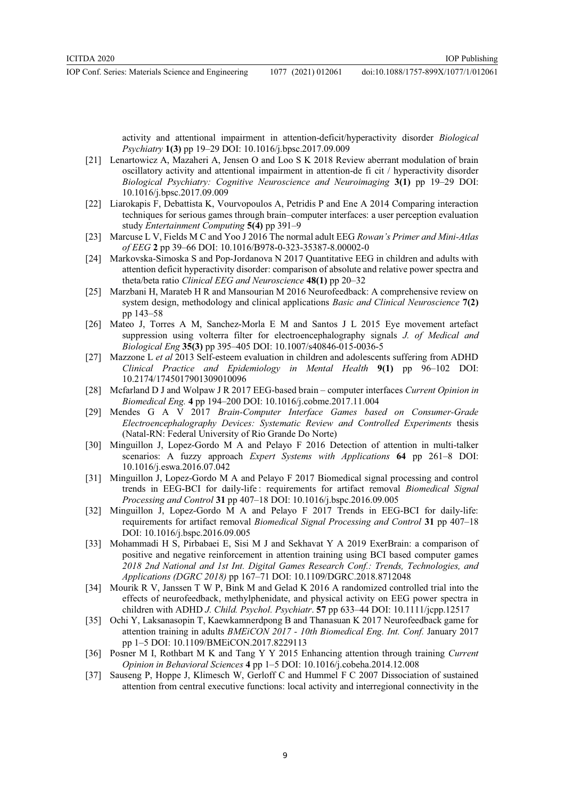doi:10.1088/1757-899X/1077/1/012061

activity and attentional impairment in attention-deficit/hyperactivity disorder Biological Psychiatry 1(3) pp 19–29 DOI: 10.1016/j.bpsc.2017.09.009

- [21] Lenartowicz A, Mazaheri A, Jensen O and Loo S K 2018 Review aberrant modulation of brain oscillatory activity and attentional impairment in attention-de fi cit / hyperactivity disorder Biological Psychiatry: Cognitive Neuroscience and Neuroimaging 3(1) pp 19–29 DOI: 10.1016/j.bpsc.2017.09.009
- [22] Liarokapis F, Debattista K, Vourvopoulos A, Petridis P and Ene A 2014 Comparing interaction techniques for serious games through brain–computer interfaces: a user perception evaluation study *Entertainment Computing* 5(4) pp 391–9
- [23] Marcuse L V, Fields M C and Yoo J 2016 The normal adult EEG Rowan's Primer and Mini-Atlas of EEG 2 pp 39–66 DOI: 10.1016/B978-0-323-35387-8.00002-0
- [24] Markovska-Simoska S and Pop-Jordanova N 2017 Quantitative EEG in children and adults with attention deficit hyperactivity disorder: comparison of absolute and relative power spectra and theta/beta ratio Clinical EEG and Neuroscience 48(1) pp 20–32
- [25] Marzbani H, Marateb H R and Mansourian M 2016 Neurofeedback: A comprehensive review on system design, methodology and clinical applications *Basic and Clinical Neuroscience* 7(2) pp 143–58
- [26] Mateo J, Torres A M, Sanchez-Morla E M and Santos J L 2015 Eye movement artefact suppression using volterra filter for electroencephalography signals J. of Medical and Biological Eng 35(3) pp 395–405 DOI: 10.1007/s40846-015-0036-5
- [27] Mazzone L et al 2013 Self-esteem evaluation in children and adolescents suffering from ADHD Clinical Practice and Epidemiology in Mental Health 9(1) pp 96–102 DOI: 10.2174/1745017901309010096
- [28] Mcfarland D J and Wolpaw J R 2017 EEG-based brain computer interfaces Current Opinion in Biomedical Eng. 4 pp 194–200 DOI: 10.1016/j.cobme.2017.11.004
- [29] Mendes G A V 2017 Brain-Computer Interface Games based on Consumer-Grade Electroencephalography Devices: Systematic Review and Controlled Experiments thesis (Natal-RN: Federal University of Rio Grande Do Norte)
- [30] Minguillon J, Lopez-Gordo M A and Pelayo F 2016 Detection of attention in multi-talker scenarios: A fuzzy approach Expert Systems with Applications 64 pp 261–8 DOI: 10.1016/j.eswa.2016.07.042
- [31] Minguillon J, Lopez-Gordo M A and Pelayo F 2017 Biomedical signal processing and control trends in EEG-BCI for daily-life : requirements for artifact removal Biomedical Signal Processing and Control 31 pp 407–18 DOI: 10.1016/j.bspc.2016.09.005
- [32] Minguillon J, Lopez-Gordo M A and Pelayo F 2017 Trends in EEG-BCI for daily-life: requirements for artifact removal Biomedical Signal Processing and Control 31 pp 407–18 DOI: 10.1016/j.bspc.2016.09.005
- [33] Mohammadi H S, Pirbabaei E, Sisi M J and Sekhavat Y A 2019 ExerBrain: a comparison of positive and negative reinforcement in attention training using BCI based computer games 2018 2nd National and 1st Int. Digital Games Research Conf.: Trends, Technologies, and Applications (DGRC 2018) pp 167–71 DOI: 10.1109/DGRC.2018.8712048
- [34] Mourik R V, Janssen T W P, Bink M and Gelad K 2016 A randomized controlled trial into the effects of neurofeedback, methylphenidate, and physical activity on EEG power spectra in children with ADHD J. Child. Psychol. Psychiatr. 57 pp 633–44 DOI: 10.1111/jcpp.12517
- [35] Ochi Y, Laksanasopin T, Kaewkamnerdpong B and Thanasuan K 2017 Neurofeedback game for attention training in adults BMEiCON 2017 - 10th Biomedical Eng. Int. Conf. January 2017 pp 1–5 DOI: 10.1109/BMEiCON.2017.8229113
- [36] Posner M I, Rothbart M K and Tang Y Y 2015 Enhancing attention through training Current Opinion in Behavioral Sciences 4 pp 1–5 DOI: 10.1016/j.cobeha.2014.12.008
- [37] Sauseng P, Hoppe J, Klimesch W, Gerloff C and Hummel F C 2007 Dissociation of sustained attention from central executive functions: local activity and interregional connectivity in the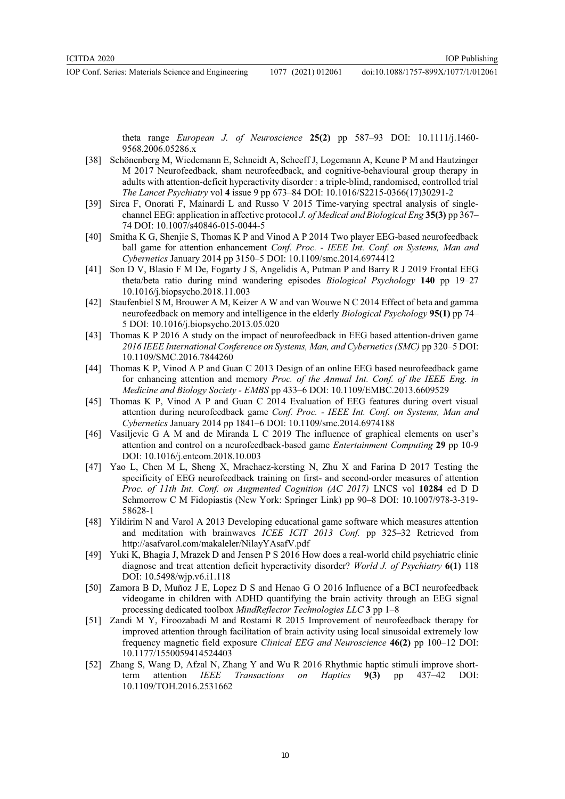IOP Conf. Series: Materials Science and Engineering 1077 (2021) 012061 doi:10.1088/1757-899X/1077/1/012061

theta range *European J. of Neuroscience* 25(2) pp 587–93 DOI:  $10.1111/j.1460$ -9568.2006.05286.x

- [38] Schönenberg M, Wiedemann E, Schneidt A, Scheeff J, Logemann A, Keune P M and Hautzinger M 2017 Neurofeedback, sham neurofeedback, and cognitive-behavioural group therapy in adults with attention-deficit hyperactivity disorder : a triple-blind, randomised, controlled trial The Lancet Psychiatry vol 4 issue 9 pp 673–84 DOI: 10.1016/S2215-0366(17)30291-2
- [39] Sirca F, Onorati F, Mainardi L and Russo V 2015 Time-varying spectral analysis of singlechannel EEG: application in affective protocol *J. of Medical and Biological Eng* 35(3) pp 367– 74 DOI: 10.1007/s40846-015-0044-5
- [40] Smitha K G, Shenjie S, Thomas K P and Vinod A P 2014 Two player EEG-based neurofeedback ball game for attention enhancement Conf. Proc. - IEEE Int. Conf. on Systems, Man and Cybernetics January 2014 pp 3150–5 DOI: 10.1109/smc.2014.6974412
- [41] Son D V, Blasio F M De, Fogarty J S, Angelidis A, Putman P and Barry R J 2019 Frontal EEG theta/beta ratio during mind wandering episodes Biological Psychology 140 pp 19–27 10.1016/j.biopsycho.2018.11.003
- [42] Staufenbiel S M, Brouwer A M, Keizer A W and van Wouwe N C 2014 Effect of beta and gamma neurofeedback on memory and intelligence in the elderly Biological Psychology 95(1) pp 74– 5 DOI: 10.1016/j.biopsycho.2013.05.020
- [43] Thomas K P 2016 A study on the impact of neurofeedback in EEG based attention-driven game 2016 IEEE International Conference on Systems, Man, and Cybernetics (SMC) pp 320–5 DOI: 10.1109/SMC.2016.7844260
- [44] Thomas K P, Vinod A P and Guan C 2013 Design of an online EEG based neurofeedback game for enhancing attention and memory Proc. of the Annual Int. Conf. of the IEEE Eng. in Medicine and Biology Society - EMBS pp 433–6 DOI: 10.1109/EMBC.2013.6609529
- [45] Thomas K P, Vinod A P and Guan C 2014 Evaluation of EEG features during overt visual attention during neurofeedback game Conf. Proc. - IEEE Int. Conf. on Systems, Man and Cybernetics January 2014 pp 1841–6 DOI: 10.1109/smc.2014.6974188
- [46] Vasiljevic G A M and de Miranda L C 2019 The influence of graphical elements on user's attention and control on a neurofeedback-based game Entertainment Computing 29 pp 10-9 DOI: 10.1016/j.entcom.2018.10.003
- [47] Yao L, Chen M L, Sheng X, Mrachacz-kersting N, Zhu X and Farina D 2017 Testing the specificity of EEG neurofeedback training on first- and second-order measures of attention Proc. of 11th Int. Conf. on Augmented Cognition (AC 2017) LNCS vol 10284 ed D D Schmorrow C M Fidopiastis (New York: Springer Link) pp 90–8 DOI: 10.1007/978-3-319- 58628-1
- [48] Yildirim N and Varol A 2013 Developing educational game software which measures attention and meditation with brainwaves ICEE ICIT 2013 Conf. pp 325–32 Retrieved from http://asafvarol.com/makaleler/NilayYAsafV.pdf
- [49] Yuki K, Bhagia J, Mrazek D and Jensen P S 2016 How does a real-world child psychiatric clinic diagnose and treat attention deficit hyperactivity disorder? World J. of Psychiatry 6(1) 118 DOI: 10.5498/wjp.v6.i1.118
- [50] Zamora B D, Muñoz J E, Lopez D S and Henao G O 2016 Influence of a BCI neurofeedback videogame in children with ADHD quantifying the brain activity through an EEG signal processing dedicated toolbox MindReflector Technologies LLC 3 pp 1–8
- [51] Zandi M Y, Firoozabadi M and Rostami R 2015 Improvement of neurofeedback therapy for improved attention through facilitation of brain activity using local sinusoidal extremely low frequency magnetic field exposure Clinical EEG and Neuroscience 46(2) pp 100–12 DOI: 10.1177/1550059414524403
- [52] Zhang S, Wang D, Afzal N, Zhang Y and Wu R 2016 Rhythmic haptic stimuli improve shortterm attention *IEEE Transactions on Haptics* 9(3) pp 437–42 DOI: 10.1109/TOH.2016.2531662